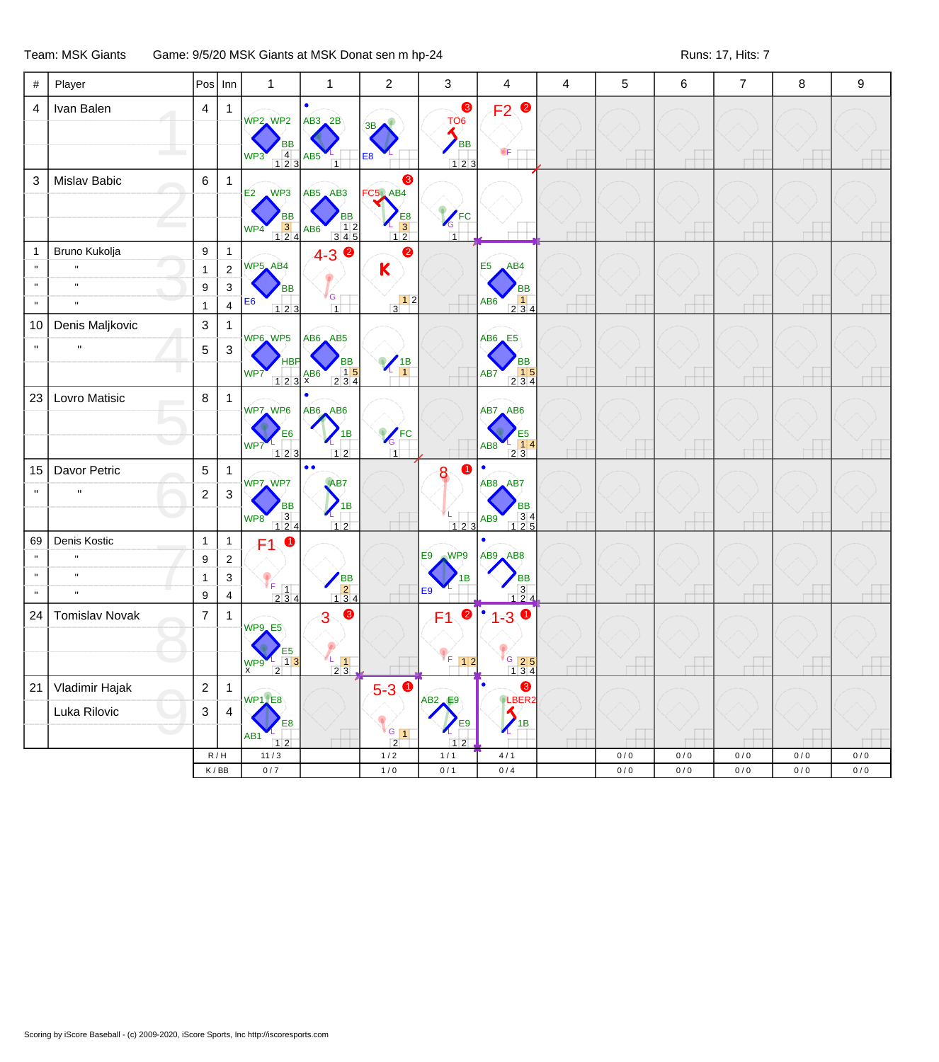Team: MSK Giants Game: 9/5/20 MSK Giants at MSK Donat sen m hp-24 Runs: 17, Hits: 7

| #                                  | Player                                                       |                                                       | $ \mathsf{Pos} $ Inn                                       | 1                                                                                                      | 1                                                                                                                      | $\overline{c}$                                                               | 3                                        | $\overline{4}$                                                                                                             | 4 | 5                | 6            | $\overline{7}$   | 8                | 9            |
|------------------------------------|--------------------------------------------------------------|-------------------------------------------------------|------------------------------------------------------------|--------------------------------------------------------------------------------------------------------|------------------------------------------------------------------------------------------------------------------------|------------------------------------------------------------------------------|------------------------------------------|----------------------------------------------------------------------------------------------------------------------------|---|------------------|--------------|------------------|------------------|--------------|
| $\overline{4}$                     | Ivan Balen                                                   | $\overline{4}$                                        | -1                                                         | WP2 WP2<br>$\begin{array}{c} 4 \\ 123 \end{array}$<br>WP3                                              | $AB3$ <sub>2</sub> B<br>AB5<br>$\overline{1}$                                                                          | $\frac{3B}{2}$<br>E <sub>8</sub>                                             | ❸<br>TO <sub>6</sub><br><b>BB</b><br>123 | F <sub>2</sub> <sup>o</sup><br>бF                                                                                          |   |                  |              |                  |                  |              |
| 3                                  | Mislav Babic                                                 | 6                                                     | $\mathbf{1}$                                               | WP3<br>E <sub>2</sub><br><b>BB</b><br>$\begin{array}{c} 3 \\ 124 \end{array}$<br>WP4                   | AB5 AB3<br><b>BB</b><br>$\begin{array}{ c c c }\n\hline\n& 1 & 2 \\ \hline\n3 & 4 & 5\n\end{array}$<br>AB <sub>6</sub> | ❸<br>FC5 AB4<br>$\begin{array}{c}\n 18 \\  -3 \\  \hline\n 12\n \end{array}$ | KFC<br>$\overline{1}$                    |                                                                                                                            |   |                  |              |                  |                  |              |
| $\mathbf 1$<br>$\mathbf{H}$        | Bruno Kukolja<br>$\mathbf{u}$<br>$\mathbf{u}$                | $\boldsymbol{9}$<br>$\mathbf{1}$<br>9<br>$\mathbf{1}$ | $\mathbf{1}$<br>$\sqrt{2}$<br>$\sqrt{3}$<br>$\overline{4}$ | WP5_AB4<br><b>BB</b><br>E <sub>6</sub><br>123                                                          | $4 - 3$ $\bullet$<br>G<br>$\overline{1}$                                                                               | 0<br>K<br>$\begin{array}{c c} & 1 & 2 \\ 3 & & \end{array}$                  |                                          | E <sub>5</sub><br>AB4<br><b>BB</b><br>$\begin{array}{ c c c }\n\hline\n1 & 1 \\ 2 & 3 & 4\n\end{array}$<br>AB <sub>6</sub> |   |                  |              |                  |                  |              |
| 10<br>$\mathbf{u}$                 | Denis Maljkovic<br>$\mathbf H$                               | $\ensuremath{\mathsf{3}}$<br>$\mathbf 5$              | 1<br>$\ensuremath{\mathsf{3}}$                             | WP6 WP5<br><b>HBP</b><br>WP7<br>$\begin{array}{ c c c }\n\hline\n1 & 2 & 3 & x \\ \hline\n\end{array}$ | AB6 AB5<br><b>BB</b><br>$\begin{array}{ c c c }\n\hline\n& 15 \\ \hline\n234\n\end{array}$                             | $\frac{1}{1}$                                                                |                                          | $AB6$ <sub><math>E5</math></sub><br><b>BB</b><br>$\begin{array}{ c c }\n\hline\n& 15 \\ 234\n\end{array}$<br>AB7           |   |                  |              |                  |                  |              |
| 23                                 | Lovro Matisic                                                | 8                                                     | $\mathbf{1}$                                               | WP7 WP6<br>E6<br>WP7<br>$123$                                                                          | AB6 AB6<br>1B<br>12                                                                                                    | KFC<br>$\overline{1}$                                                        |                                          | AB7 AB6<br>E5<br>14<br>AB8<br>$\overline{2}3$                                                                              |   |                  |              |                  |                  |              |
| 15<br>$\mathbf{u}$                 | Davor Petric<br>$\mathbf{u}$                                 | $\mathbf 5$<br>$\overline{c}$                         | 1<br>$\ensuremath{\mathsf{3}}$                             | WP7 WP7<br><b>BB</b><br>$\begin{array}{c} 3 \\ 124 \end{array}$<br>WP8                                 | $\bullet$<br>$\bullet$<br>AB7<br>1B<br>$12$                                                                            |                                                                              | ➊<br>8<br>$123$                          | AB8 AB7<br><b>BB</b><br>$\begin{array}{r} 34 \\ 125 \end{array}$<br>AB9                                                    |   |                  |              |                  |                  |              |
| 69<br>$\mathbf{u}$<br>$\mathbf{u}$ | Denis Kostic<br>$\mathbf{u}$<br>$\mathbf{u}$<br>$\mathbf{u}$ | $\mathbf{1}$<br>9<br>$\mathbf{1}$<br>$\boldsymbol{9}$ | $\mathbf{1}$<br>$\sqrt{2}$<br>$\sqrt{3}$<br>$\overline{4}$ | $\bullet$<br>F1<br>$V_{F}$ [1]<br>234                                                                  | BB<br>2<br>134                                                                                                         |                                                                              | WP9<br>E9<br>1В<br>E9                    | AB9, AB8<br><b>BB</b><br>$\begin{array}{c} 3 \\ 124 \end{array}$                                                           |   |                  |              |                  |                  |              |
| 24                                 | <b>Tomislav Novak</b>                                        | $\overline{7}$                                        | $\mathbf{1}$                                               | WP9_E5<br>E5<br>$\overline{1}\overline{3}$<br>WP9<br>$\overline{2}$                                    | 8<br>3<br>L,<br>$\vert$ 1<br>$23$                                                                                      |                                                                              | $\bullet$<br>F1<br>F 12                  | $\bullet$<br>٠<br>$1 - 3$<br>G 25                                                                                          |   |                  |              |                  |                  |              |
| 21                                 | Vladimir Hajak<br>Luka Rilovic                               | $\overline{\mathbf{c}}$<br>$\ensuremath{\mathsf{3}}$  | $\mathbf{1}$<br>$\overline{4}$                             | WP1_E8<br>E8<br>AB <sub>1</sub><br>12                                                                  |                                                                                                                        | $5-3$ 0<br>$\sqrt{G}$ 1<br>$\overline{2}$                                    | $AB2$ $E9$<br>E9<br>12                   | ❸<br>٠<br>LBER2<br>$\boldsymbol{\beta}$<br>1B<br>∕∟                                                                        |   |                  |              |                  |                  |              |
|                                    |                                                              |                                                       | R/H<br>$\mathsf K\,/\,\mathsf{BB}$                         | $11/3$<br>$0/7$                                                                                        |                                                                                                                        | $1/2$<br>$1/0$                                                               | 1/1<br>0/1                               | 4/1<br>0/4                                                                                                                 |   | 0/0<br>$0\,/\,0$ | 0/0<br>$0/0$ | 0/0<br>$0\,/\,0$ | 0/0<br>$0\,/\,0$ | 0/0<br>$0/0$ |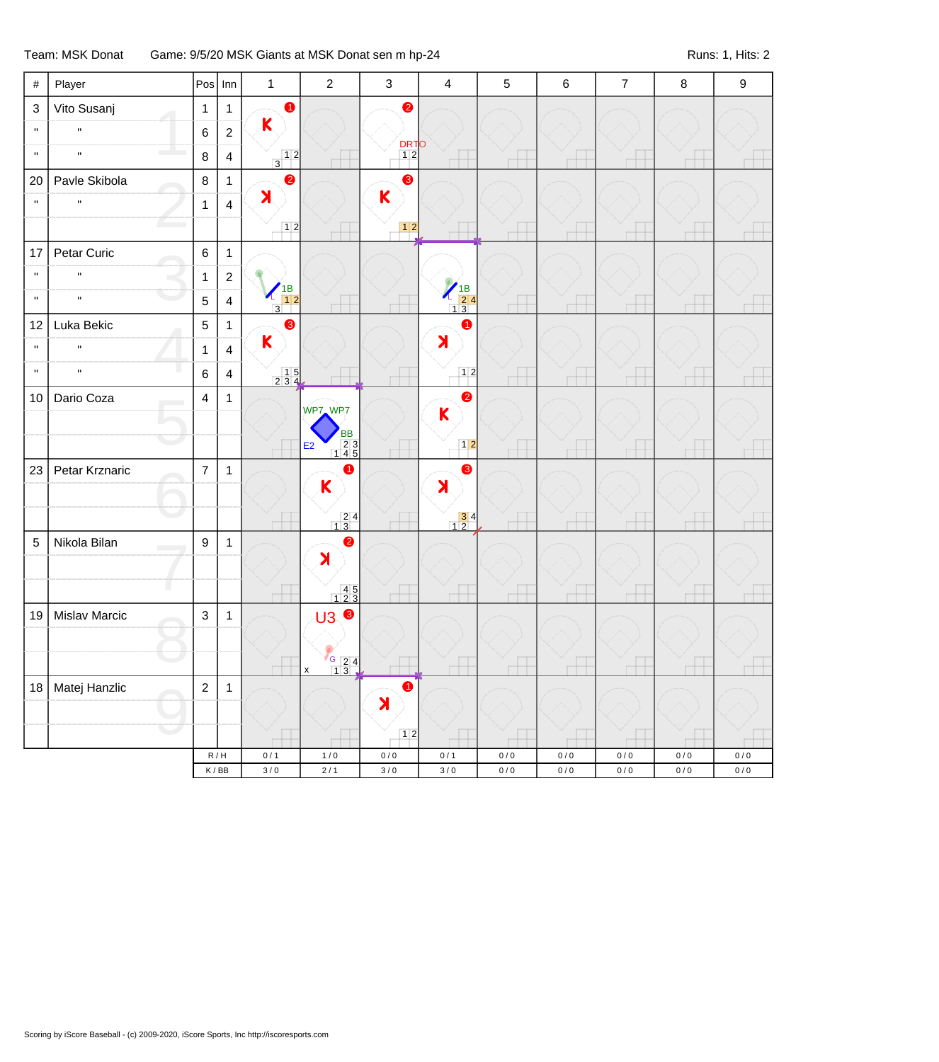Team: MSK Donat Game: 9/5/20 MSK Giants at MSK Donat sen m hp-24 Runs: 1, Hits: 2

| $\#$                      | Player         | $Pos$ Inn      |                         | $\mathbf{1}$                                                              | $\sqrt{2}$                               | $\sqrt{3}$         | $\overline{4}$                                                                                                                                                                                                                                                                                                                                                                             | 5                        | $\,6$                    | $\overline{7}$           | $\,8\,$                  | 9                |
|---------------------------|----------------|----------------|-------------------------|---------------------------------------------------------------------------|------------------------------------------|--------------------|--------------------------------------------------------------------------------------------------------------------------------------------------------------------------------------------------------------------------------------------------------------------------------------------------------------------------------------------------------------------------------------------|--------------------------|--------------------------|--------------------------|--------------------------|------------------|
| $\ensuremath{\mathsf{3}}$ | Vito Susanj    | $\mathbf{1}$   | $\mathbf{1}$            | $\bullet$                                                                 |                                          | 2                  |                                                                                                                                                                                                                                                                                                                                                                                            |                          |                          |                          |                          |                  |
| $\mathbf{H}$              | $\mathbf{u}$   | 6              | $\boldsymbol{2}$        | K                                                                         |                                          |                    |                                                                                                                                                                                                                                                                                                                                                                                            |                          |                          |                          |                          |                  |
| $\mathbf{H}$              | $\mathbf{H}$   | 8              | $\overline{\mathbf{4}}$ | $\begin{array}{ c c } \hline 1 & 2 \\ \hline 3 & 1 \\ \hline \end{array}$ |                                          | $\frac{DRT}{12}$   |                                                                                                                                                                                                                                                                                                                                                                                            |                          |                          |                          |                          |                  |
| 20                        | Pavle Skibola  | $\bf 8$        | 1                       | $\bullet$                                                                 |                                          | 8                  |                                                                                                                                                                                                                                                                                                                                                                                            |                          |                          |                          |                          |                  |
| $\mathbf{H}$              | $\mathbf{H}$   | $\mathbf{1}$   | $\overline{4}$          | $\blacktriangleright$                                                     |                                          | Κ                  |                                                                                                                                                                                                                                                                                                                                                                                            |                          |                          |                          |                          |                  |
|                           |                |                |                         | 12                                                                        |                                          |                    |                                                                                                                                                                                                                                                                                                                                                                                            |                          | $\overline{\phantom{a}}$ | $\overline{\phantom{a}}$ | $\overline{\phantom{a}}$ |                  |
| 17                        | Petar Curic    | $\,6\,$        | $\mathbf{1}$            |                                                                           |                                          |                    |                                                                                                                                                                                                                                                                                                                                                                                            |                          |                          |                          |                          |                  |
| $\mathbf{H}$              | $\mathbf{u}$   | $\mathbf{1}$   | $\sqrt{2}$              |                                                                           |                                          |                    |                                                                                                                                                                                                                                                                                                                                                                                            |                          |                          |                          |                          |                  |
| $\mathbf{H}$              | $\mathbf{H}$   | 5              | $\overline{4}$          | $\begin{array}{c} \n 1B \\  \hline\n 12\n \end{array}$<br>$\overline{3}$  |                                          |                    | $\begin{array}{r} \begin{array}{c} \begin{array}{c} \end{array} \end{array} \begin{array}{c} \begin{array}{c} \end{array} \end{array} \begin{array}{c} \begin{array}{c} \end{array} \end{array} \begin{array}{c} \begin{array}{c} \end{array} \end{array} \begin{array}{c} \begin{array}{c} \end{array} \end{array} \begin{array}{c} \end{array} \begin{array}{c} \end{array} \end{array}$ |                          |                          |                          |                          |                  |
| 12                        | Luka Bekic     | $\sqrt{5}$     | 1                       | 6                                                                         |                                          |                    | $\bullet$                                                                                                                                                                                                                                                                                                                                                                                  |                          |                          |                          |                          |                  |
| $\mathbf H$               | $\mathbf H$    | $\mathbf{1}$   | $\overline{4}$          | $\mathsf{K}$                                                              |                                          |                    | $\blacktriangleright$                                                                                                                                                                                                                                                                                                                                                                      |                          |                          |                          |                          |                  |
| $\mathbf{H}$              | $\mathbf{H}$   | 6              | $\overline{4}$          | $\begin{array}{c c} 1 & 5 \\ 2 & 3 & 4 \end{array}$                       |                                          |                    | 12                                                                                                                                                                                                                                                                                                                                                                                         | $\overline{\phantom{a}}$ | н                        |                          | $\overline{\phantom{a}}$ |                  |
| 10                        | Dario Coza     | 4              | $\mathbf{1}$            |                                                                           | WP7 WP7                                  |                    | $\bullet$                                                                                                                                                                                                                                                                                                                                                                                  |                          |                          |                          |                          |                  |
|                           |                |                |                         |                                                                           |                                          |                    | $\mathsf{K}$                                                                                                                                                                                                                                                                                                                                                                               |                          |                          |                          |                          |                  |
|                           |                |                |                         |                                                                           | BB<br>23<br>145<br>E <sub>2</sub>        |                    | $12$                                                                                                                                                                                                                                                                                                                                                                                       |                          |                          |                          |                          |                  |
| 23                        | Petar Krznaric | $\overline{7}$ | $\mathbf{1}$            |                                                                           | 0                                        |                    | $\bullet$                                                                                                                                                                                                                                                                                                                                                                                  |                          |                          |                          |                          |                  |
|                           |                |                |                         |                                                                           | K                                        |                    | $\blacktriangleright$                                                                                                                                                                                                                                                                                                                                                                      |                          |                          |                          |                          |                  |
|                           |                |                |                         |                                                                           | $\begin{array}{r} 24 \\ 13 \end{array}$  |                    | $\begin{array}{ c c }\n \hline\n 3 & 4 \\  \hline\n 1 & 2\n \end{array}$                                                                                                                                                                                                                                                                                                                   | Н                        | н                        | н                        | $\overline{\phantom{a}}$ |                  |
| 5                         | Nikola Bilan   | 9              | $\mathbf{1}$            |                                                                           | $\bullet$                                |                    |                                                                                                                                                                                                                                                                                                                                                                                            |                          |                          |                          |                          |                  |
|                           |                |                |                         |                                                                           | $\blacktriangleright$                    |                    |                                                                                                                                                                                                                                                                                                                                                                                            |                          |                          |                          |                          |                  |
|                           |                |                |                         |                                                                           | $\begin{array}{c} 45 \\ 123 \end{array}$ |                    |                                                                                                                                                                                                                                                                                                                                                                                            |                          |                          |                          |                          |                  |
| 19                        | Mislav Marcic  | $\sqrt{3}$     | $\mathbf{1}$            |                                                                           | <b>U3 €</b>                              |                    |                                                                                                                                                                                                                                                                                                                                                                                            |                          |                          |                          |                          |                  |
|                           |                |                |                         |                                                                           |                                          |                    |                                                                                                                                                                                                                                                                                                                                                                                            |                          |                          |                          |                          |                  |
|                           |                |                |                         |                                                                           | $\frac{7}{13}$                           |                    |                                                                                                                                                                                                                                                                                                                                                                                            |                          |                          |                          |                          |                  |
| 18                        | Matej Hanzlic  | $\overline{c}$ | $\mathbf{1}$            |                                                                           |                                          | $\bullet$          |                                                                                                                                                                                                                                                                                                                                                                                            |                          |                          |                          |                          |                  |
|                           |                |                |                         |                                                                           |                                          | X                  |                                                                                                                                                                                                                                                                                                                                                                                            |                          |                          |                          |                          |                  |
|                           |                |                |                         |                                                                           |                                          | $12$               |                                                                                                                                                                                                                                                                                                                                                                                            |                          |                          |                          |                          |                  |
|                           |                | R/H<br>K/BB    |                         | 0/1<br>$3/0$                                                              | $1/0$<br>$2/1$                           | $0\,/\,0$<br>$3/0$ | 0/1<br>$3/0$                                                                                                                                                                                                                                                                                                                                                                               | $0\,/\,0$<br>$0\,/\,0$   | 0/0<br>$0/0$             | 0/0<br>$0/0$             | $0/0$<br>$0\,/\,0$       | 0/0<br>$0\,/\,0$ |